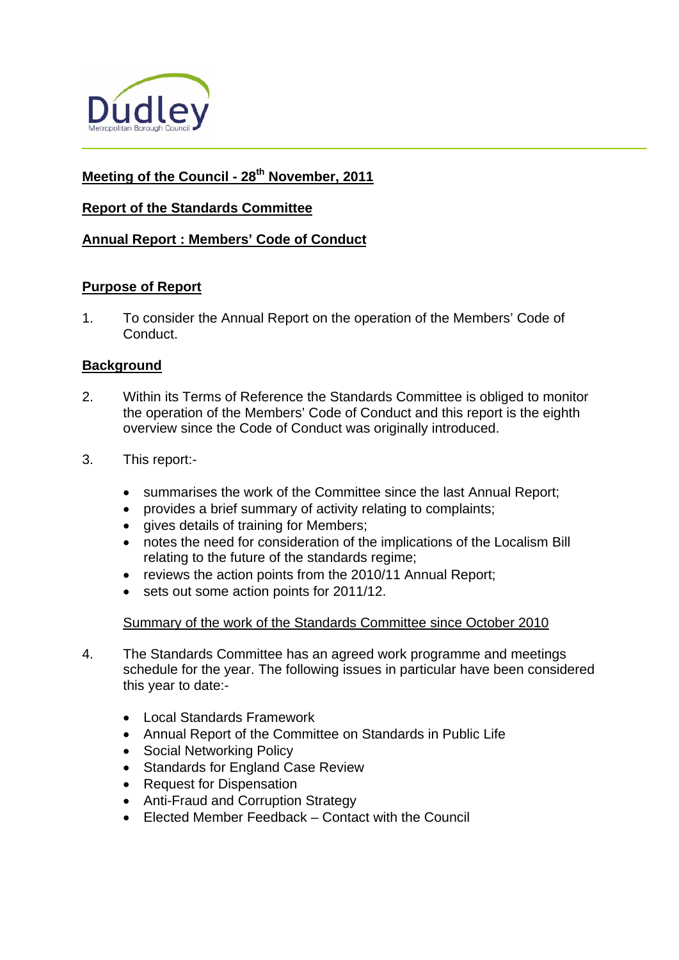

# **Meeting of the Council - 28th November, 2011**

# **Report of the Standards Committee**

# **Annual Report : Members' Code of Conduct**

# **Purpose of Report**

1. To consider the Annual Report on the operation of the Members' Code of Conduct.

# **Background**

- 2. Within its Terms of Reference the Standards Committee is obliged to monitor the operation of the Members' Code of Conduct and this report is the eighth overview since the Code of Conduct was originally introduced.
- 3. This report:
	- summarises the work of the Committee since the last Annual Report;
	- provides a brief summary of activity relating to complaints;
	- **•** gives details of training for Members;
	- notes the need for consideration of the implications of the Localism Bill relating to the future of the standards regime;
	- reviews the action points from the 2010/11 Annual Report;
	- sets out some action points for 2011/12.

#### Summary of the work of the Standards Committee since October 2010

- 4. The Standards Committee has an agreed work programme and meetings schedule for the year. The following issues in particular have been considered this year to date:-
	- Local Standards Framework
	- Annual Report of the Committee on Standards in Public Life
	- Social Networking Policy
	- Standards for England Case Review
	- Request for Dispensation
	- Anti-Fraud and Corruption Strategy
	- Elected Member Feedback Contact with the Council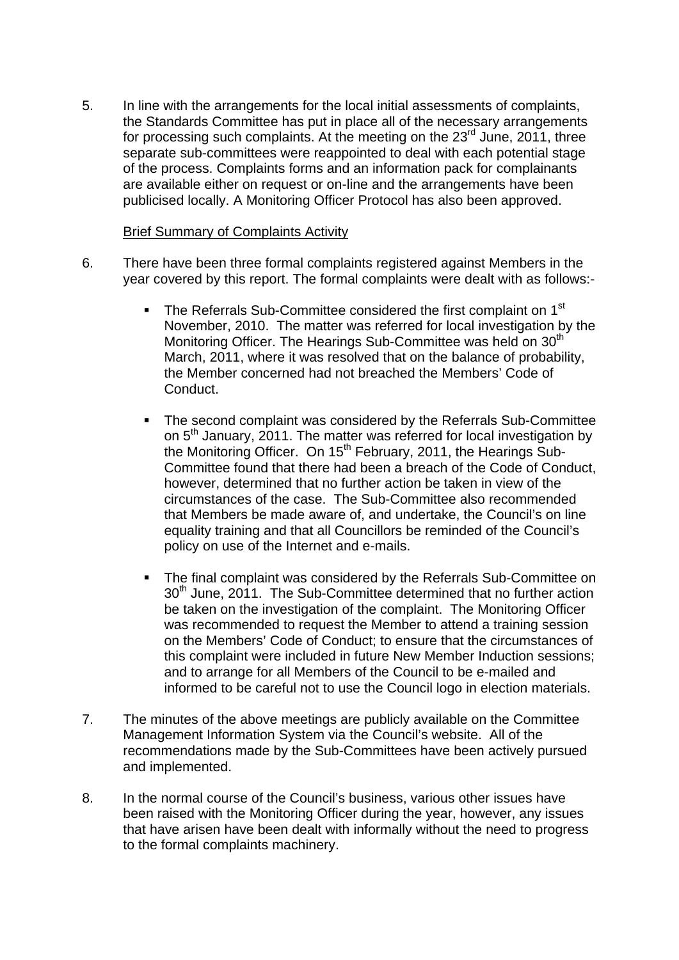5. In line with the arrangements for the local initial assessments of complaints, the Standards Committee has put in place all of the necessary arrangements for processing such complaints. At the meeting on the  $23<sup>rd</sup>$  June, 2011, three separate sub-committees were reappointed to deal with each potential stage of the process. Complaints forms and an information pack for complainants are available either on request or on-line and the arrangements have been publicised locally. A Monitoring Officer Protocol has also been approved.

### Brief Summary of Complaints Activity

- 6. There have been three formal complaints registered against Members in the year covered by this report. The formal complaints were dealt with as follows:-
	- The Referrals Sub-Committee considered the first complaint on 1<sup>st</sup> November, 2010. The matter was referred for local investigation by the Monitoring Officer. The Hearings Sub-Committee was held on 30<sup>th</sup> March, 2011, where it was resolved that on the balance of probability, the Member concerned had not breached the Members' Code of Conduct.
	- The second complaint was considered by the Referrals Sub-Committee on 5<sup>th</sup> January, 2011. The matter was referred for local investigation by the Monitoring Officer. On 15<sup>th</sup> February, 2011, the Hearings Sub-Committee found that there had been a breach of the Code of Conduct, however, determined that no further action be taken in view of the circumstances of the case. The Sub-Committee also recommended that Members be made aware of, and undertake, the Council's on line equality training and that all Councillors be reminded of the Council's policy on use of the Internet and e-mails.
	- The final complaint was considered by the Referrals Sub-Committee on 30<sup>th</sup> June, 2011. The Sub-Committee determined that no further action be taken on the investigation of the complaint. The Monitoring Officer was recommended to request the Member to attend a training session on the Members' Code of Conduct; to ensure that the circumstances of this complaint were included in future New Member Induction sessions; and to arrange for all Members of the Council to be e-mailed and informed to be careful not to use the Council logo in election materials.
- 7. The minutes of the above meetings are publicly available on the Committee Management Information System via the Council's website. All of the recommendations made by the Sub-Committees have been actively pursued and implemented.
- 8. In the normal course of the Council's business, various other issues have been raised with the Monitoring Officer during the year, however, any issues that have arisen have been dealt with informally without the need to progress to the formal complaints machinery.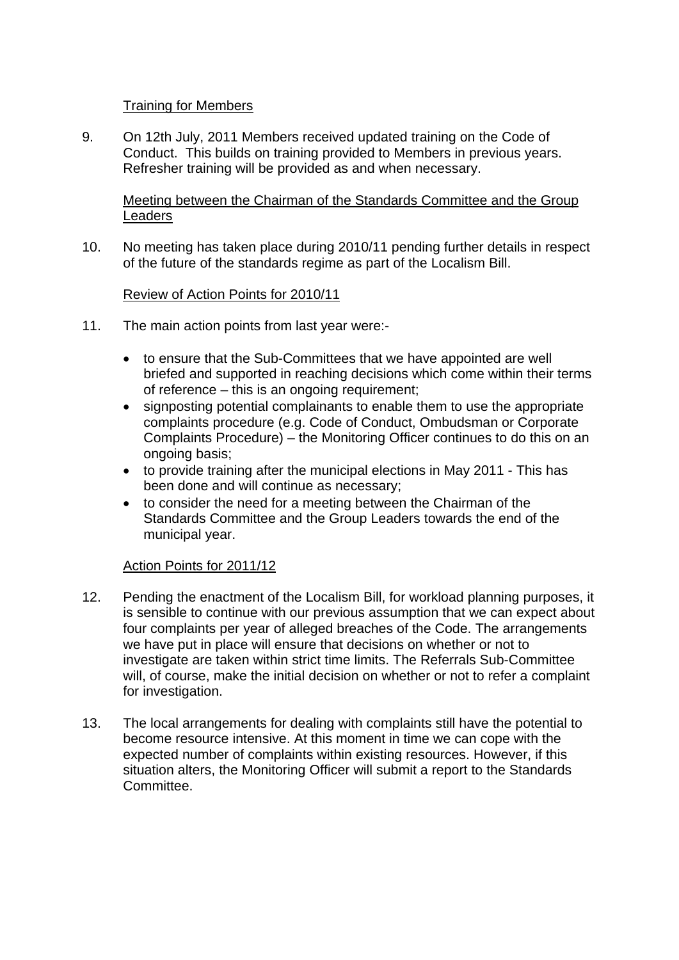# Training for Members

9. On 12th July, 2011 Members received updated training on the Code of Conduct. This builds on training provided to Members in previous years. Refresher training will be provided as and when necessary.

Meeting between the Chairman of the Standards Committee and the Group Leaders

10. No meeting has taken place during 2010/11 pending further details in respect of the future of the standards regime as part of the Localism Bill.

# Review of Action Points for 2010/11

- 11. The main action points from last year were:
	- to ensure that the Sub-Committees that we have appointed are well briefed and supported in reaching decisions which come within their terms of reference – this is an ongoing requirement;
	- signposting potential complainants to enable them to use the appropriate complaints procedure (e.g. Code of Conduct, Ombudsman or Corporate Complaints Procedure) – the Monitoring Officer continues to do this on an ongoing basis;
	- to provide training after the municipal elections in May 2011 This has been done and will continue as necessary;
	- to consider the need for a meeting between the Chairman of the Standards Committee and the Group Leaders towards the end of the municipal year.

# Action Points for 2011/12

- 12. Pending the enactment of the Localism Bill, for workload planning purposes, it is sensible to continue with our previous assumption that we can expect about four complaints per year of alleged breaches of the Code. The arrangements we have put in place will ensure that decisions on whether or not to investigate are taken within strict time limits. The Referrals Sub-Committee will, of course, make the initial decision on whether or not to refer a complaint for investigation.
- 13. The local arrangements for dealing with complaints still have the potential to become resource intensive. At this moment in time we can cope with the expected number of complaints within existing resources. However, if this situation alters, the Monitoring Officer will submit a report to the Standards Committee.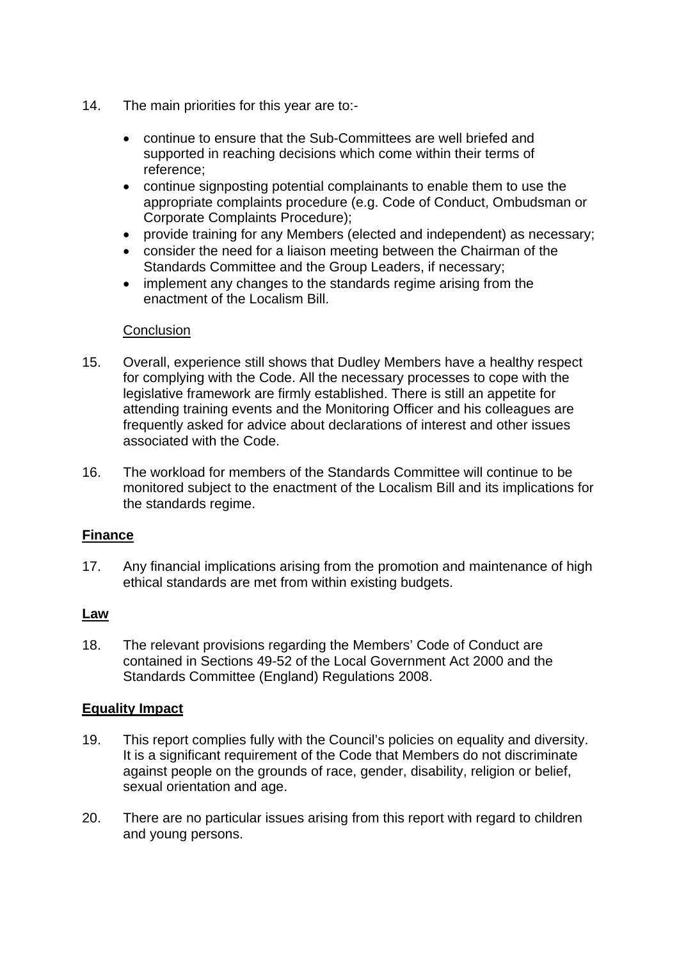- 14. The main priorities for this year are to:
	- continue to ensure that the Sub-Committees are well briefed and supported in reaching decisions which come within their terms of reference;
	- continue signposting potential complainants to enable them to use the appropriate complaints procedure (e.g. Code of Conduct, Ombudsman or Corporate Complaints Procedure);
	- provide training for any Members (elected and independent) as necessary;
	- consider the need for a liaison meeting between the Chairman of the Standards Committee and the Group Leaders, if necessary;
	- implement any changes to the standards regime arising from the enactment of the Localism Bill.

#### **Conclusion**

- 15. Overall, experience still shows that Dudley Members have a healthy respect for complying with the Code. All the necessary processes to cope with the legislative framework are firmly established. There is still an appetite for attending training events and the Monitoring Officer and his colleagues are frequently asked for advice about declarations of interest and other issues associated with the Code.
- 16. The workload for members of the Standards Committee will continue to be monitored subject to the enactment of the Localism Bill and its implications for the standards regime.

# **Finance**

17. Any financial implications arising from the promotion and maintenance of high ethical standards are met from within existing budgets.

# **Law**

18. The relevant provisions regarding the Members' Code of Conduct are contained in Sections 49-52 of the Local Government Act 2000 and the Standards Committee (England) Regulations 2008.

# **Equality Impact**

- 19. This report complies fully with the Council's policies on equality and diversity. It is a significant requirement of the Code that Members do not discriminate against people on the grounds of race, gender, disability, religion or belief, sexual orientation and age.
- 20. There are no particular issues arising from this report with regard to children and young persons.